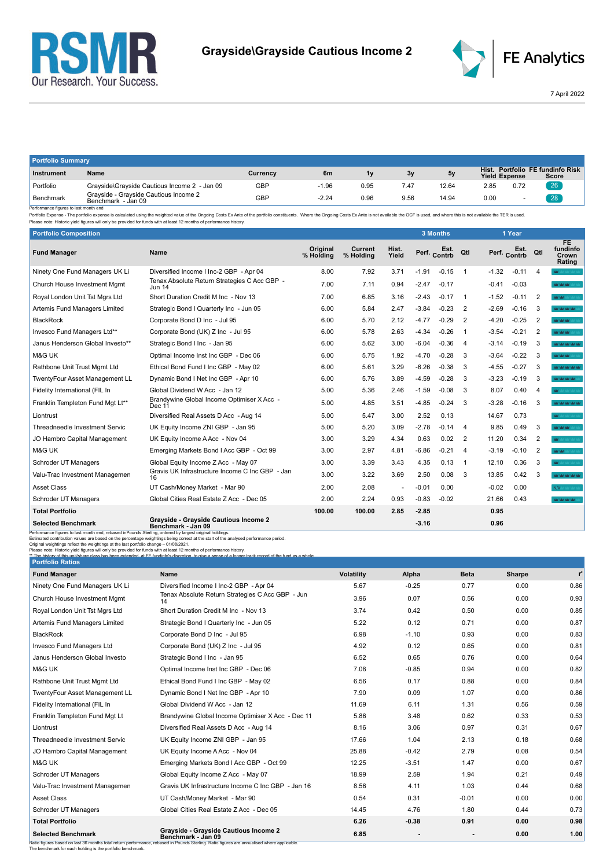



7 April 2022

| <b>Portfolio Summary</b> |                                                             |            |         |      |      |       |                      |      |                                           |  |  |
|--------------------------|-------------------------------------------------------------|------------|---------|------|------|-------|----------------------|------|-------------------------------------------|--|--|
| Instrument               | Name                                                        | Currency   | 6m      |      | 3v   | 5v    | <b>Yield Expense</b> |      | Hist. Portfolio FE fundinfo Risk<br>Score |  |  |
| Portfolio                | Grayside\Grayside Cautious Income 2 - Jan 09                | <b>GBP</b> | $-1.96$ | 0.95 | 7.47 | 12.64 | 2.85                 | 0.72 | 26'                                       |  |  |
| Benchmark<br>- -         | Grayside - Grayside Cautious Income 2<br>Benchmark - Jan 09 | GBP        | $-2.24$ | 0.96 | 9.56 | 14.94 | 0.00                 |      | 28                                        |  |  |

Benchmark Benchmark Benchmark Benchmark Jan 09<br>Performance figures is last month end<br>Performance figures is alst month end<br>Please note: Historic yield figures will only be provided for funds with at least 12 months of perf

| <b>Portfolio Composition</b>                                                                                                                                                                                                                                                                                                                                                                                                                                                                                                                                                                                             |                                                               |                              |                      |                |         | <b>3 Months</b>      |                | 1 Year  |              |                |                                          |
|--------------------------------------------------------------------------------------------------------------------------------------------------------------------------------------------------------------------------------------------------------------------------------------------------------------------------------------------------------------------------------------------------------------------------------------------------------------------------------------------------------------------------------------------------------------------------------------------------------------------------|---------------------------------------------------------------|------------------------------|----------------------|----------------|---------|----------------------|----------------|---------|--------------|----------------|------------------------------------------|
| <b>Fund Manager</b>                                                                                                                                                                                                                                                                                                                                                                                                                                                                                                                                                                                                      | Name                                                          | <b>Original</b><br>% Holding | Current<br>% Holding | Hist.<br>Yield |         | Est.<br>Perf. Contrb | Qtl            |         | Perf. Contrb | Qtl            | <b>FE</b><br>fundinfo<br>Crown<br>Rating |
| Ninety One Fund Managers UK Li                                                                                                                                                                                                                                                                                                                                                                                                                                                                                                                                                                                           | Diversified Income I Inc-2 GBP - Apr 04                       | 8.00                         | 7.92                 | 3.71           | $-1.91$ | $-0.15$              | $\overline{1}$ | $-1.32$ | $-0.11$      | $\overline{4}$ | W.                                       |
| Church House Investment Mgmt                                                                                                                                                                                                                                                                                                                                                                                                                                                                                                                                                                                             | Tenax Absolute Return Strategies C Acc GBP -<br><b>Jun 14</b> | 7.00                         | 7.11                 | 0.94           | $-2.47$ | $-0.17$              |                | $-0.41$ | $-0.03$      |                | <b>MAY MAY MAY</b> 177                   |
| Royal London Unit Tst Mgrs Ltd                                                                                                                                                                                                                                                                                                                                                                                                                                                                                                                                                                                           | Short Duration Credit M Inc - Nov 13                          | 7.00                         | 6.85                 | 3.16           | $-2.43$ | $-0.17$              | $\overline{1}$ | $-1.52$ | $-0.11$      | 2              | <b>WOM</b>                               |
| Artemis Fund Managers Limited                                                                                                                                                                                                                                                                                                                                                                                                                                                                                                                                                                                            | Strategic Bond I Quarterly Inc - Jun 05                       | 6.00                         | 5.84                 | 2.47           | $-3.84$ | $-0.23$              | 2              | $-2.69$ | $-0.16$      | 3              | <b>WOM WORKS</b>                         |
| <b>BlackRock</b>                                                                                                                                                                                                                                                                                                                                                                                                                                                                                                                                                                                                         | Corporate Bond D Inc - Jul 95                                 | 6.00                         | 5.70                 | 2.12           | $-4.77$ | $-0.29$              | $\overline{2}$ | $-4.20$ | $-0.25$      | $\overline{2}$ | <b>WAY MAY MAY</b>                       |
| Invesco Fund Managers Ltd**                                                                                                                                                                                                                                                                                                                                                                                                                                                                                                                                                                                              | Corporate Bond (UK) Z Inc - Jul 95                            | 6.00                         | 5.78                 | 2.63           | $-4.34$ | $-0.26$              | $\overline{1}$ | $-3.54$ | $-0.21$      | $\overline{2}$ | <b>WWW.</b>                              |
| Janus Henderson Global Investo**                                                                                                                                                                                                                                                                                                                                                                                                                                                                                                                                                                                         | Strategic Bond I Inc - Jan 95                                 | 6.00                         | 5.62                 | 3.00           | $-6.04$ | $-0.36$              | 4              | $-3.14$ | $-0.19$      | 3              | <b>WOM WORK</b>                          |
| M&G UK                                                                                                                                                                                                                                                                                                                                                                                                                                                                                                                                                                                                                   | Optimal Income Inst Inc GBP - Dec 06                          | 6.00                         | 5.75                 | 1.92           | $-4.70$ | $-0.28$              | 3              | $-3.64$ | $-0.22$      | -3             | <b>WAY MAY WAY</b>                       |
| Rathbone Unit Trust Mgmt Ltd                                                                                                                                                                                                                                                                                                                                                                                                                                                                                                                                                                                             | Ethical Bond Fund I Inc GBP - May 02                          | 6.00                         | 5.61                 | 3.29           | $-6.26$ | $-0.38$              | 3              | $-4.55$ | $-0.27$      | 3              | <b>Northern New York Today</b>           |
| TwentyFour Asset Management LL                                                                                                                                                                                                                                                                                                                                                                                                                                                                                                                                                                                           | Dynamic Bond I Net Inc GBP - Apr 10                           | 6.00                         | 5.76                 | 3.89           | $-4.59$ | $-0.28$              | 3              | $-3.23$ | $-0.19$      | 3              | <b>WAS MALLAND</b>                       |
| Fidelity International (FIL In                                                                                                                                                                                                                                                                                                                                                                                                                                                                                                                                                                                           | Global Dividend W Acc - Jan 12                                | 5.00                         | 5.36                 | 2.46           | $-1.59$ | $-0.08$              | 3              | 8.07    | 0.40         | $\overline{4}$ |                                          |
| Franklin Templeton Fund Mgt Lt**                                                                                                                                                                                                                                                                                                                                                                                                                                                                                                                                                                                         | Brandywine Global Income Optimiser X Acc -<br>Dec 11          | 5.00                         | 4.85                 | 3.51           | $-4.85$ | $-0.24$              | 3              | $-3.28$ | $-0.16$      | 3              | <b>WOOD WORK WAS TAKEN</b>               |
| Liontrust                                                                                                                                                                                                                                                                                                                                                                                                                                                                                                                                                                                                                | Diversified Real Assets D Acc - Aug 14                        | 5.00                         | 5.47                 | 3.00           | 2.52    | 0.13                 |                | 14.67   | 0.73         |                | <b>WOOD AREA</b>                         |
| Threadneedle Investment Servic                                                                                                                                                                                                                                                                                                                                                                                                                                                                                                                                                                                           | UK Equity Income ZNI GBP - Jan 95                             | 5.00                         | 5.20                 | 3.09           | $-2.78$ | $-0.14$              | $\overline{4}$ | 9.85    | 0.49         | 3              | <b>Man Man Man Street,</b>               |
| JO Hambro Capital Management                                                                                                                                                                                                                                                                                                                                                                                                                                                                                                                                                                                             | UK Equity Income A Acc - Nov 04                               | 3.00                         | 3.29                 | 4.34           | 0.63    | 0.02                 | $\overline{2}$ | 11.20   | 0.34         | $\overline{2}$ | <b>WE MAY YAY YAY Y</b>                  |
| M&G UK                                                                                                                                                                                                                                                                                                                                                                                                                                                                                                                                                                                                                   | Emerging Markets Bond I Acc GBP - Oct 99                      | 3.00                         | 2.97                 | 4.81           | $-6.86$ | $-0.21$              | $\overline{4}$ | $-3.19$ | $-0.10$      | -2             | Mar Mar Sold Story                       |
| Schroder UT Managers                                                                                                                                                                                                                                                                                                                                                                                                                                                                                                                                                                                                     | Global Equity Income Z Acc - May 07                           | 3.00                         | 3.39                 | 3.43           | 4.35    | 0.13                 | $\overline{1}$ | 12.10   | 0.36         | 3              | <b>W</b> MONEY                           |
| Valu-Trac Investment Managemen                                                                                                                                                                                                                                                                                                                                                                                                                                                                                                                                                                                           | Gravis UK Infrastructure Income C Inc GBP - Jan<br>16         | 3.00                         | 3.22                 | 3.69           | 2.50    | 0.08                 | 3              | 13.85   | 0.42         | 3              | <b>MOON ON ARRIVAL</b>                   |
| <b>Asset Class</b>                                                                                                                                                                                                                                                                                                                                                                                                                                                                                                                                                                                                       | UT Cash/Money Market - Mar 90                                 | 2.00                         | 2.08                 | $\blacksquare$ | $-0.01$ | 0.00                 |                | $-0.02$ | 0.00         |                | N/A MAY YARD                             |
| Schroder UT Managers                                                                                                                                                                                                                                                                                                                                                                                                                                                                                                                                                                                                     | Global Cities Real Estate Z Acc - Dec 05                      | 2.00                         | 2.24                 | 0.93           | $-0.83$ | $-0.02$              |                | 21.66   | 0.43         |                | <b>WAS MALLAND</b>                       |
| <b>Total Portfolio</b>                                                                                                                                                                                                                                                                                                                                                                                                                                                                                                                                                                                                   |                                                               | 100.00                       | 100.00               | 2.85           | $-2.85$ |                      |                | 0.95    |              |                |                                          |
| <b>Selected Benchmark</b>                                                                                                                                                                                                                                                                                                                                                                                                                                                                                                                                                                                                | Grayside - Grayside Cautious Income 2<br>Benchmark - Jan 09   |                              |                      |                | $-3.16$ |                      |                | 0.96    |              |                |                                          |
| Performance figures to last month end, rebased in Pounds Sterling, ordered by largest original holdings.<br>Estimated contribution values are based on the percentage weightings being correct at the start of the analysed performance period.<br>Original weightings reflect the weightings at the last portfolio change - 01/08/2021.<br>Please note: Historic vield figures will only be provided for funds with at least 12 months of performance history.<br>** The history of this unit/share class hes heen extended at EE fundinfo's discretion to give a sense of a longer track record of the fund as a whole |                                                               |                              |                      |                |         |                      |                |         |              |                |                                          |
| <b>Portfolio Ratios</b>                                                                                                                                                                                                                                                                                                                                                                                                                                                                                                                                                                                                  |                                                               |                              |                      |                |         |                      |                |         |              |                |                                          |

| <b>Portfolio Ratios</b>        |                                                                                                                                                                                                                  |                   |         |             |        |       |
|--------------------------------|------------------------------------------------------------------------------------------------------------------------------------------------------------------------------------------------------------------|-------------------|---------|-------------|--------|-------|
| <b>Fund Manager</b>            | Name                                                                                                                                                                                                             | <b>Volatility</b> | Alpha   | <b>Beta</b> | Sharpe | $r^2$ |
| Ninety One Fund Managers UK Li | Diversified Income I Inc-2 GBP - Apr 04                                                                                                                                                                          | 5.67              | $-0.25$ | 0.77        | 0.00   | 0.86  |
| Church House Investment Mgmt   | Tenax Absolute Return Strategies C Acc GBP - Jun<br>14                                                                                                                                                           | 3.96              | 0.07    | 0.56        | 0.00   | 0.93  |
| Royal London Unit Tst Mgrs Ltd | Short Duration Credit M Inc - Nov 13                                                                                                                                                                             | 3.74              | 0.42    | 0.50        | 0.00   | 0.85  |
| Artemis Fund Managers Limited  | Strategic Bond I Quarterly Inc - Jun 05                                                                                                                                                                          | 5.22              | 0.12    | 0.71        | 0.00   | 0.87  |
| <b>BlackRock</b>               | Corporate Bond D Inc - Jul 95                                                                                                                                                                                    | 6.98              | $-1.10$ | 0.93        | 0.00   | 0.83  |
| Invesco Fund Managers Ltd      | Corporate Bond (UK) Z Inc - Jul 95                                                                                                                                                                               | 4.92              | 0.12    | 0.65        | 0.00   | 0.81  |
| Janus Henderson Global Investo | Strategic Bond I Inc - Jan 95                                                                                                                                                                                    | 6.52              | 0.65    | 0.76        | 0.00   | 0.64  |
| M&G UK                         | Optimal Income Inst Inc GBP - Dec 06                                                                                                                                                                             | 7.08              | $-0.85$ | 0.94        | 0.00   | 0.82  |
| Rathbone Unit Trust Mgmt Ltd   | Ethical Bond Fund I Inc GBP - May 02                                                                                                                                                                             | 6.56              | 0.17    | 0.88        | 0.00   | 0.84  |
| TwentyFour Asset Management LL | Dynamic Bond I Net Inc GBP - Apr 10                                                                                                                                                                              | 7.90              | 0.09    | 1.07        | 0.00   | 0.86  |
| Fidelity International (FIL In | Global Dividend W Acc - Jan 12                                                                                                                                                                                   | 11.69             | 6.11    | 1.31        | 0.56   | 0.59  |
| Franklin Templeton Fund Mgt Lt | Brandywine Global Income Optimiser X Acc - Dec 11                                                                                                                                                                | 5.86              | 3.48    | 0.62        | 0.33   | 0.53  |
| Liontrust                      | Diversified Real Assets D Acc - Aug 14                                                                                                                                                                           | 8.16              | 3.06    | 0.97        | 0.31   | 0.67  |
| Threadneedle Investment Servic | UK Equity Income ZNI GBP - Jan 95                                                                                                                                                                                | 17.66             | 1.04    | 2.13        | 0.18   | 0.68  |
| JO Hambro Capital Management   | UK Equity Income A Acc - Nov 04                                                                                                                                                                                  | 25.88             | $-0.42$ | 2.79        | 0.08   | 0.54  |
| M&G UK                         | Emerging Markets Bond I Acc GBP - Oct 99                                                                                                                                                                         | 12.25             | $-3.51$ | 1.47        | 0.00   | 0.67  |
| Schroder UT Managers           | Global Equity Income Z Acc - May 07                                                                                                                                                                              | 18.99             | 2.59    | 1.94        | 0.21   | 0.49  |
| Valu-Trac Investment Managemen | Gravis UK Infrastructure Income C Inc GBP - Jan 16                                                                                                                                                               | 8.56              | 4.11    | 1.03        | 0.44   | 0.68  |
| <b>Asset Class</b>             | UT Cash/Money Market - Mar 90                                                                                                                                                                                    | 0.54              | 0.31    | $-0.01$     | 0.00   | 0.00  |
| Schroder UT Managers           | Global Cities Real Estate Z Acc - Dec 05                                                                                                                                                                         | 14.45             | 4.76    | 1.80        | 0.44   | 0.73  |
| <b>Total Portfolio</b>         |                                                                                                                                                                                                                  | 6.26              | $-0.38$ | 0.91        | 0.00   | 0.98  |
| <b>Selected Benchmark</b>      | <b>Gravside - Gravside Cautious Income 2</b><br>Benchmark - Jan 09<br>Ratio figures based on last 36 months total return performance, rebased in Pounds Sterling. Ratio figures are annualised where applicable. | 6.85              |         |             | 0.00   | 1.00  |

The benchmark for each holding is the portfolio benchmark.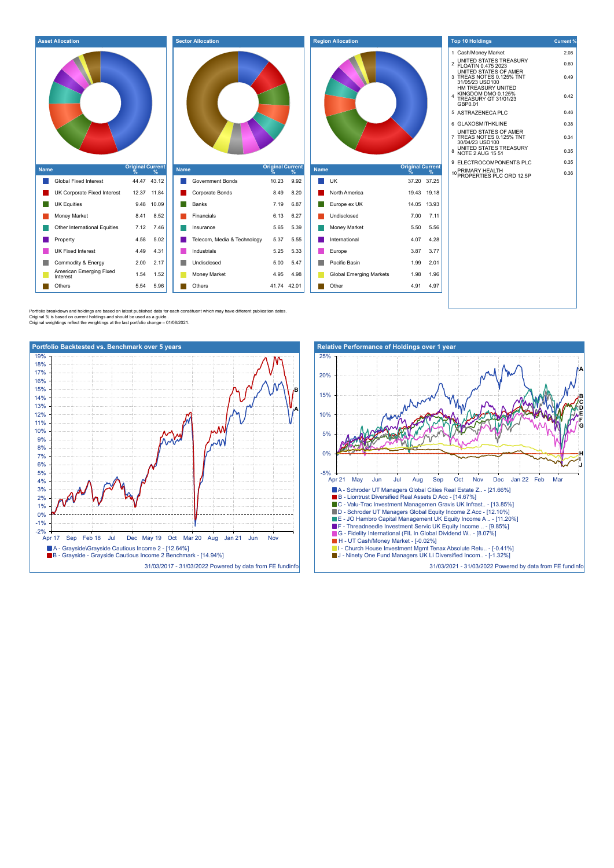| 1 Cash/Money Market<br>2.08<br>2 UNITED STATES TREASURY<br>2 FLOATIN 0.475 2023<br>0.60<br>UNITED STATES OF AMER<br>3 TREAS NOTES 0.125% TNT<br>0.49<br>31/05/23 USD100<br>HM TREASURY UNITED<br>KINGDOM DMO 0.125%<br>0.42<br><b>TREASURY GT 31/01/23</b><br>GBP0.01<br>5 ASTRAZENECA PLC<br>0.46<br>0.38<br>6 GLAXOSMITHKLINE<br>UNITED STATES OF AMER<br>7 TREAS NOTES 0.125% TNT<br>0.34<br>30/04/23 USD100<br>UNITED STATES TREASURY<br>NOTE 2 AUG 15 51<br>0.35<br>9 ELECTROCOMPONENTS PLC<br>0.35<br><b>Original Current</b><br><b>Original Current</b><br><b>Original Current</b><br><b>Name</b><br><b>Name</b><br><b>Name</b><br>10 PRIMARY HEALTH<br>10 PROPERTIES PLC ORD 12.5P<br>$\frac{9}{6}$<br>$\frac{9}{6}$<br>$\frac{9}{6}$<br>0.36<br>Global Fixed Interest<br>44.47 43.12<br>Government Bonds<br>10.23<br><b>UK</b><br>9.92<br>37.20 37.25<br>12.37 11.84<br>8.20<br>UK Corporate Fixed Interest<br>Corporate Bonds<br>8.49<br>North America<br>19.43 19.18<br><b>UK Equities</b><br>9.48 10.09<br>Banks<br>7.19<br>6.87<br>Europe ex UK<br>14.05 13.93<br>8.52<br>6.27<br>7.11<br>Money Market<br>8.41<br>Financials<br>6.13<br>Undisclosed<br>7.00<br>Other International Equities<br>5.65<br>5.39<br>Money Market<br>5.56<br>7.12<br>7.46<br>5.50<br>Insurance<br>4.58<br>Telecom, Media & Technology<br>4.28<br>5.02<br>5.37<br>5.55<br>International<br>4.07<br>Property<br><b>UK Fixed Interest</b><br>3.77<br>4.49<br>4.31<br>Industrials<br>5.25<br>5.33<br>3.87<br>Europe<br>Commodity & Energy<br>2.00<br>2.17<br>5.00<br>5.47<br>Pacific Basin<br>1.99<br>2.01<br>Undisclosed<br>American Emerging Fixed<br>1.54<br>1.52<br>4.95<br>4.98<br><b>Global Emerging Markets</b><br>1.98<br>1.96<br><b>Money Market</b><br>Interest<br>4.97<br>5.96<br>Others<br>41.74 42.01<br>Other<br>Others<br>5.54<br>4.91 | <b>Asset Allocation</b> | <b>Sector Allocation</b> | <b>Region Allocation</b> | <b>Top 10 Holdings</b> | Current <sup>®</sup> |
|------------------------------------------------------------------------------------------------------------------------------------------------------------------------------------------------------------------------------------------------------------------------------------------------------------------------------------------------------------------------------------------------------------------------------------------------------------------------------------------------------------------------------------------------------------------------------------------------------------------------------------------------------------------------------------------------------------------------------------------------------------------------------------------------------------------------------------------------------------------------------------------------------------------------------------------------------------------------------------------------------------------------------------------------------------------------------------------------------------------------------------------------------------------------------------------------------------------------------------------------------------------------------------------------------------------------------------------------------------------------------------------------------------------------------------------------------------------------------------------------------------------------------------------------------------------------------------------------------------------------------------------------------------------------------------------------------------------------------------------------------------------------------------------------------------------------------------------|-------------------------|--------------------------|--------------------------|------------------------|----------------------|
|                                                                                                                                                                                                                                                                                                                                                                                                                                                                                                                                                                                                                                                                                                                                                                                                                                                                                                                                                                                                                                                                                                                                                                                                                                                                                                                                                                                                                                                                                                                                                                                                                                                                                                                                                                                                                                          |                         |                          |                          |                        |                      |
|                                                                                                                                                                                                                                                                                                                                                                                                                                                                                                                                                                                                                                                                                                                                                                                                                                                                                                                                                                                                                                                                                                                                                                                                                                                                                                                                                                                                                                                                                                                                                                                                                                                                                                                                                                                                                                          |                         |                          |                          |                        |                      |
|                                                                                                                                                                                                                                                                                                                                                                                                                                                                                                                                                                                                                                                                                                                                                                                                                                                                                                                                                                                                                                                                                                                                                                                                                                                                                                                                                                                                                                                                                                                                                                                                                                                                                                                                                                                                                                          |                         |                          |                          |                        |                      |
|                                                                                                                                                                                                                                                                                                                                                                                                                                                                                                                                                                                                                                                                                                                                                                                                                                                                                                                                                                                                                                                                                                                                                                                                                                                                                                                                                                                                                                                                                                                                                                                                                                                                                                                                                                                                                                          |                         |                          |                          |                        |                      |
|                                                                                                                                                                                                                                                                                                                                                                                                                                                                                                                                                                                                                                                                                                                                                                                                                                                                                                                                                                                                                                                                                                                                                                                                                                                                                                                                                                                                                                                                                                                                                                                                                                                                                                                                                                                                                                          |                         |                          |                          |                        |                      |
|                                                                                                                                                                                                                                                                                                                                                                                                                                                                                                                                                                                                                                                                                                                                                                                                                                                                                                                                                                                                                                                                                                                                                                                                                                                                                                                                                                                                                                                                                                                                                                                                                                                                                                                                                                                                                                          |                         |                          |                          |                        |                      |
|                                                                                                                                                                                                                                                                                                                                                                                                                                                                                                                                                                                                                                                                                                                                                                                                                                                                                                                                                                                                                                                                                                                                                                                                                                                                                                                                                                                                                                                                                                                                                                                                                                                                                                                                                                                                                                          |                         |                          |                          |                        |                      |
|                                                                                                                                                                                                                                                                                                                                                                                                                                                                                                                                                                                                                                                                                                                                                                                                                                                                                                                                                                                                                                                                                                                                                                                                                                                                                                                                                                                                                                                                                                                                                                                                                                                                                                                                                                                                                                          |                         |                          |                          |                        |                      |
|                                                                                                                                                                                                                                                                                                                                                                                                                                                                                                                                                                                                                                                                                                                                                                                                                                                                                                                                                                                                                                                                                                                                                                                                                                                                                                                                                                                                                                                                                                                                                                                                                                                                                                                                                                                                                                          |                         |                          |                          |                        |                      |
|                                                                                                                                                                                                                                                                                                                                                                                                                                                                                                                                                                                                                                                                                                                                                                                                                                                                                                                                                                                                                                                                                                                                                                                                                                                                                                                                                                                                                                                                                                                                                                                                                                                                                                                                                                                                                                          |                         |                          |                          |                        |                      |
|                                                                                                                                                                                                                                                                                                                                                                                                                                                                                                                                                                                                                                                                                                                                                                                                                                                                                                                                                                                                                                                                                                                                                                                                                                                                                                                                                                                                                                                                                                                                                                                                                                                                                                                                                                                                                                          |                         |                          |                          |                        |                      |
|                                                                                                                                                                                                                                                                                                                                                                                                                                                                                                                                                                                                                                                                                                                                                                                                                                                                                                                                                                                                                                                                                                                                                                                                                                                                                                                                                                                                                                                                                                                                                                                                                                                                                                                                                                                                                                          |                         |                          |                          |                        |                      |
|                                                                                                                                                                                                                                                                                                                                                                                                                                                                                                                                                                                                                                                                                                                                                                                                                                                                                                                                                                                                                                                                                                                                                                                                                                                                                                                                                                                                                                                                                                                                                                                                                                                                                                                                                                                                                                          |                         |                          |                          |                        |                      |
|                                                                                                                                                                                                                                                                                                                                                                                                                                                                                                                                                                                                                                                                                                                                                                                                                                                                                                                                                                                                                                                                                                                                                                                                                                                                                                                                                                                                                                                                                                                                                                                                                                                                                                                                                                                                                                          |                         |                          |                          |                        |                      |
|                                                                                                                                                                                                                                                                                                                                                                                                                                                                                                                                                                                                                                                                                                                                                                                                                                                                                                                                                                                                                                                                                                                                                                                                                                                                                                                                                                                                                                                                                                                                                                                                                                                                                                                                                                                                                                          |                         |                          |                          |                        |                      |
|                                                                                                                                                                                                                                                                                                                                                                                                                                                                                                                                                                                                                                                                                                                                                                                                                                                                                                                                                                                                                                                                                                                                                                                                                                                                                                                                                                                                                                                                                                                                                                                                                                                                                                                                                                                                                                          |                         |                          |                          |                        |                      |
|                                                                                                                                                                                                                                                                                                                                                                                                                                                                                                                                                                                                                                                                                                                                                                                                                                                                                                                                                                                                                                                                                                                                                                                                                                                                                                                                                                                                                                                                                                                                                                                                                                                                                                                                                                                                                                          |                         |                          |                          |                        |                      |
|                                                                                                                                                                                                                                                                                                                                                                                                                                                                                                                                                                                                                                                                                                                                                                                                                                                                                                                                                                                                                                                                                                                                                                                                                                                                                                                                                                                                                                                                                                                                                                                                                                                                                                                                                                                                                                          |                         |                          |                          |                        |                      |
|                                                                                                                                                                                                                                                                                                                                                                                                                                                                                                                                                                                                                                                                                                                                                                                                                                                                                                                                                                                                                                                                                                                                                                                                                                                                                                                                                                                                                                                                                                                                                                                                                                                                                                                                                                                                                                          |                         |                          |                          |                        |                      |

Portfolio breakdown and holdings are based on latest published data for each constituent which may have different publication dates<br>Original % is based on current holdings and should be used as a guide..<br>Original weighting